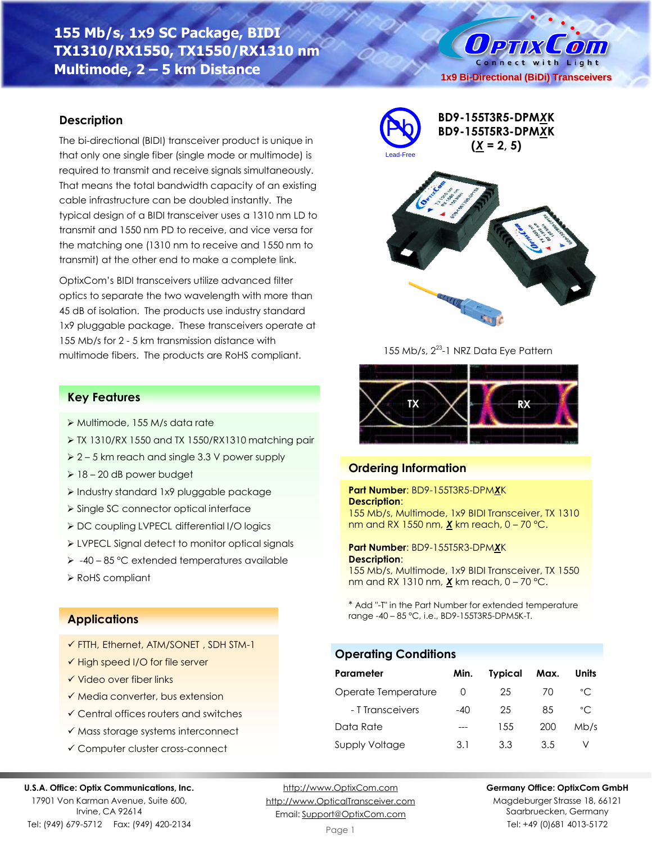# **155 Mb/s, 1x9 SC Package, BIDI TX1310/RX1550, TX1550/RX1310 nm Multimode, 2 – 5 km Distance**

## **Description**

The bi-directional (BIDI) transceiver product is unique in that only one single fiber (single mode or multimode) is required to transmit and receive signals simultaneously. That means the total bandwidth capacity of an existing cable infrastructure can be doubled instantly. The typical design of a BIDI transceiver uses a 1310 nm LD to transmit and 1550 nm PD to receive, and vice versa for the matching one (1310 nm to receive and 1550 nm to transmit) at the other end to make a complete link.

OptixCom's BIDI transceivers utilize advanced filter optics to separate the two wavelength with more than 45 dB of isolation. The products use industry standard 1x9 pluggable package. These transceivers operate at 155 Mb/s for 2 - 5 km transmission distance with multimode fibers. The products are RoHS compliant.

## **Key Features**

- ➢ Multimode, 155 M/s data rate
- ➢ TX 1310/RX 1550 and TX 1550/RX1310 matching pair
- ➢ 2 5 km reach and single 3.3 V power supply
- $\geq 18 20$  dB power budget
- ➢ Industry standard 1x9 pluggable package
- ➢ Single SC connector optical interface
- ➢ DC coupling LVPECL differential I/O logics
- ➢ LVPECL Signal detect to monitor optical signals
- ➢ -40 85 °C extended temperatures available
- ➢ RoHS compliant

## **Applications**

- ✓ FTTH, Ethernet, ATM/SONET , SDH STM-1
- ✓ High speed I/O for file server
- ✓ Video over fiber links
- ✓ Media converter, bus extension
- ✓ Central offices routers and switches
- ✓ Mass storage systems interconnect
- ✓ Computer cluster cross-connect

#### **U.S.A. Office: Optix Communications, Inc.**

17901 Von Karman Avenue, Suite 600, Irvine, CA 92614 Tel: (949) 679-5712 Fax: (949) 420-2134

[http://www.OptixCom.com](http://www.optixcom.com/) [http://www.OpticalTransceiver.com](http://www.optoictech.com/) Email: [Support@OptixCom.com](mailto:Support@optoICtech.com)

Page 1



Saarbruecken, Germany Tel: +49 (0)681 4013-5172



155 Mb/s, 2<sup>23</sup>-1 NRZ Data Eye Pattern

## **Ordering Information**

**Part Number**: BD9-155T3R5-DPM*X*K **Description**:

155 Mb/s, Multimode, 1x9 BIDI Transceiver, TX 1310 nm and RX 1550 nm, *X* km reach, 0 – 70 °C.

 $TX \times \rightarrow RX$ 

**Part Number**: BD9-155T5R3-DPM*X*K **Description**:

155 Mb/s, Multimode, 1x9 BIDI Transceiver, TX 1550 nm and RX 1310 nm, *X* km reach, 0 – 70 °C.

\* Add "-T" in the Part Number for extended temperature range -40 – 85 °C, i.e., BD9-155T3R5-DPM5K-T.

**Operating Conditions**

| Parameter           | Min.             | <b>Typical</b> | Max. | Units        |
|---------------------|------------------|----------------|------|--------------|
| Operate Temperature | $\left( \right)$ | 25             | 70   | °C           |
| - T Transceivers    | $-40$            | 25             | 85   | $^{\circ}$ C |
| Data Rate           |                  | 1.5.5          | 200  | Mb/s         |
| Supply Voltage      | 3.1              | 3.3            | 3.5  |              |



**BD9-155T3R5-DPM***X***K BD9-155T5R3-DPM***X***K**

Connect with Light **1x9 Bi-Directional (BiDi) Transceivers**

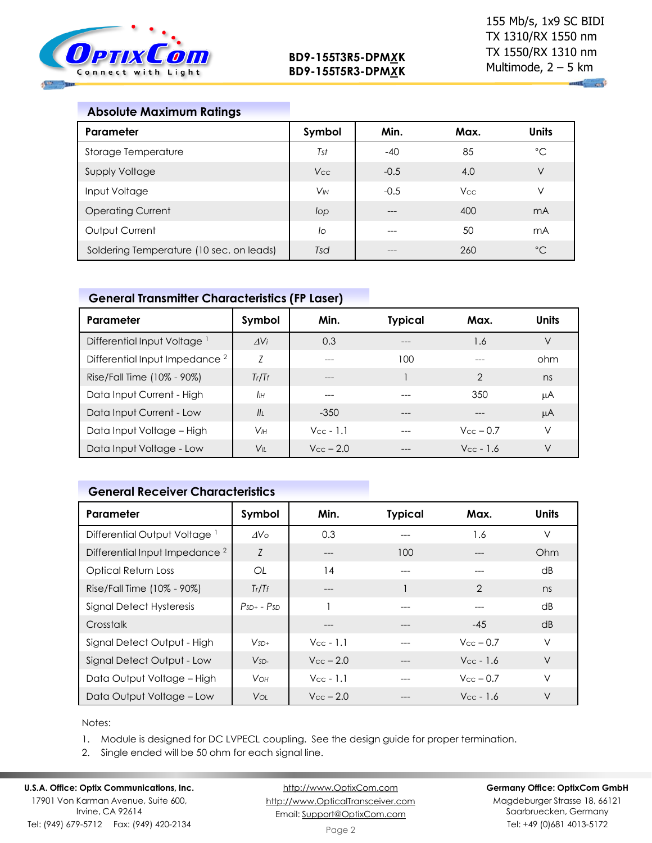

| <b>Absolute Maximum Ratings</b>          |          |        |            |              |
|------------------------------------------|----------|--------|------------|--------------|
| Parameter                                | Symbol   | Min.   | Max.       | <b>Units</b> |
| Storage Temperature                      | Tst      | $-40$  | 85         | °C           |
| <b>Supply Voltage</b>                    | Vcc      | $-0.5$ | 4.0        | V            |
| Input Voltage                            | $V_{IN}$ | $-0.5$ | <b>Vcc</b> | V            |
| <b>Operating Current</b>                 | lop      |        | 400        | mA           |
| Output Current                           | lo       |        | 50         | mA           |
| Soldering Temperature (10 sec. on leads) | Tsd      |        | 260        | $^{\circ}C$  |

# **General Transmitter Characteristics (FP Laser)**

| Parameter                                 | Symbol          | Min.               | <b>Typical</b> | Max.                  | Units |
|-------------------------------------------|-----------------|--------------------|----------------|-----------------------|-------|
| Differential Input Voltage <sup>1</sup>   | AV <sub>i</sub> | 0.3                |                | 1.6                   | V     |
| Differential Input Impedance <sup>2</sup> | Z               | ---                | 100            | ---                   | ohm   |
| Rise/Fall Time (10% - 90%)                | Tr/Tr           | ---                |                | $\overline{2}$        | ns    |
| Data Input Current - High                 | IІн             |                    |                | 350                   | μA    |
| Data Input Current - Low                  | II <sub>I</sub> | $-350$             | ---            | $---$                 | μA    |
| Data Input Voltage - High                 | Vıн             | $V_{CC}$ - 1.1     |                | $V_{\text{cc}}$ – 0.7 | ν     |
| Data Input Voltage - Low                  | $V_{\parallel}$ | $V_{\rm CC}$ – 2.0 | ---            | $V_{CC}$ - 1.6        | V     |

# **General Receiver Characteristics**

| Parameter                                 | Symbol          | Min.                  | <b>Typical</b> | Max.                  | <b>Units</b>    |
|-------------------------------------------|-----------------|-----------------------|----------------|-----------------------|-----------------|
| Differential Output Voltage <sup>1</sup>  | AV <sub>O</sub> | 0.3                   |                | 1.6                   | V               |
| Differential Input Impedance <sup>2</sup> | Z               | ---                   | 100            | ---                   | Ohm             |
| Optical Return Loss                       | OL              | 14                    | ---            |                       | $\overline{AB}$ |
| Rise/Fall Time (10% - 90%)                | Tr/Tr           | ---                   |                | $\mathcal{P}$         | ns              |
| Signal Detect Hysteresis                  | $PsD + - PSD$   |                       |                |                       | $\overline{AB}$ |
| Crosstalk                                 |                 | ---                   |                | $-45$                 | dB              |
| Signal Detect Output - High               | $V_{SD+}$       | $Vec - 1.1$           |                | $V_{\rm CC}$ – 0.7    | V               |
| Signal Detect Output - Low                | $V_{SD-}$       | $V_{\rm CC}$ – 2.0    |                | $V_{\text{CC}}$ - 1.6 | $\vee$          |
| Data Output Voltage - High                | <b>V</b> он     | $V_{\text{CC}}$ - 1.1 | ---            | $V_{\rm CC}$ – 0.7    | V               |
| Data Output Voltage - Low                 | Voi:            | $V_{\rm CC}$ – 2.0    |                | $V_{CC}$ - 1.6        | $\vee$          |

#### Notes:

1. Module is designed for DC LVPECL coupling. See the design guide for proper termination.

2. Single ended will be 50 ohm for each signal line.

# **U.S.A. Office: Optix Communications, Inc.**

17901 Von Karman Avenue, Suite 600, Irvine, CA 92614 Tel: (949) 679-5712 Fax: (949) 420-2134

[http://www.OptixCom.com](http://www.optixcom.com/) [http://www.OpticalTransceiver.com](http://www.optoictech.com/) Email: [Support@OptixCom.com](mailto:Support@optoICtech.com)

### **Germany Office: OptixCom GmbH**

Magdeburger Strasse 18, 66121 Saarbruecken, Germany Tel: +49 (0)681 4013-5172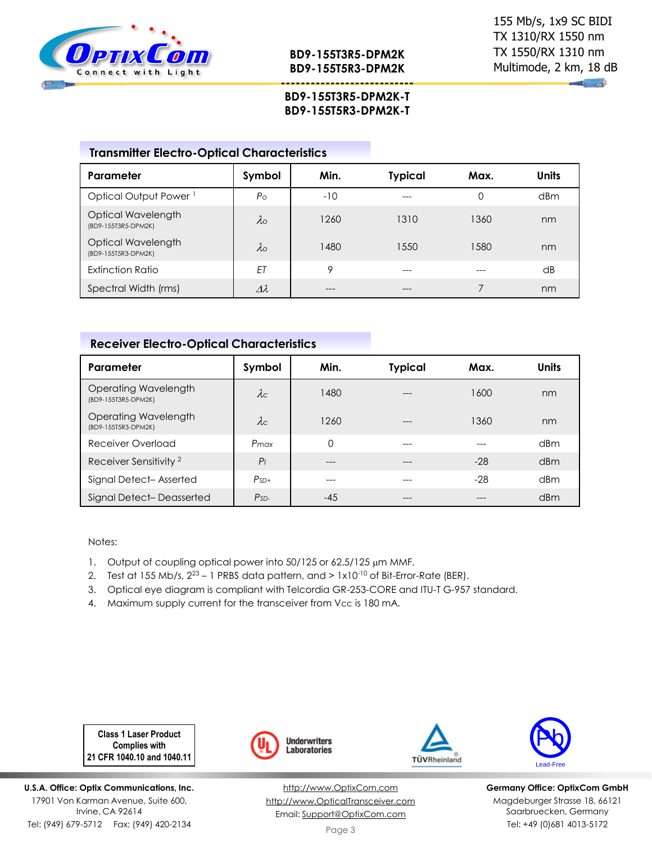

 $\mathbf{u}$  and

# **BD9-155T3R5-DPM2K-T BD9-155T5R3-DPM2K-T**

**---------------------------**

## **Transmitter Electro-Optical Characteristics**

| Parameter                                 | Symbol           | Min.  | <b>Typical</b> | Max. | <b>Units</b>    |
|-------------------------------------------|------------------|-------|----------------|------|-----------------|
| Optical Output Power <sup>1</sup>         | $P_{\rm O}$      | $-10$ |                | 0    | d <sub>Bm</sub> |
| Optical Wavelength<br>(BD9-155T3R5-DPM2K) | $\lambda$        | 1260  | 1310           | 1360 | nm              |
| Optical Wavelength<br>(BD9-155T5R3-DPM2K) | $\lambda$ o      | 1480  | 1550           | 1580 | nm              |
| Extinction Ratio                          | ET               | 9     | ---            |      | dB              |
| Spectral Width (rms)                      | $\lambda\lambda$ | ---   | ---            |      | nm              |

## **Receiver Electro-Optical Characteristics**

| Parameter                                   | Symbol         | Min. | <b>Typical</b> | Max.  | <b>Units</b> |
|---------------------------------------------|----------------|------|----------------|-------|--------------|
| Operating Wavelength<br>(BD9-155T3R5-DPM2K) | $\lambda c$    | 1480 | $---$          | 1600  | nm           |
| Operating Wavelength<br>(BD9-155T5R3-DPM2K) | $\lambda c$    | 1260 | $- - -$        | 1360  | nm           |
| Receiver Overload                           | Pmax           | 0    | $---$          |       | dBm          |
| Receiver Sensitivity <sup>2</sup>           | P <sub>1</sub> | ---  |                | -28   | dBm          |
| Signal Detect-Asserted                      | $PsD+$         | ---  |                | $-28$ | dBm          |
| Signal Detect-Deasserted                    | $PsD-$         | -45  |                |       | dBm          |

Notes:

- 1. Output of coupling optical power into 50/125 or 62.5/125 µm MMF.
- 2. Test at 155 Mb/s,  $2^{23} 1$  PRBS data pattern, and  $> 1 \times 10^{-10}$  of Bit-Error-Rate (BER).
- 3. Optical eye diagram is compliant with Telcordia GR-253-CORE and ITU-T G-957 standard.
- 4. Maximum supply current for the transceiver from Vcc is 180 mA.

**Class 1 Laser Product Complies with 21 CFR 1040.10 and 1040.11**

**U.S.A. Office: Optix Communications, Inc.** 17901 Von Karman Avenue, Suite 600, Irvine, CA 92614 Tel: (949) 679-5712 Fax: (949) 420-2134



[http://www.OptixCom.com](http://www.optixcom.com/) [http://www.OpticalTransceiver.com](http://www.optoictech.com/) Email: [Support@OptixCom.com](mailto:Support@optoICtech.com)





**Germany Office: OptixCom GmbH** Magdeburger Strasse 18, 66121 Saarbruecken, Germany Tel: +49 (0)681 4013-5172